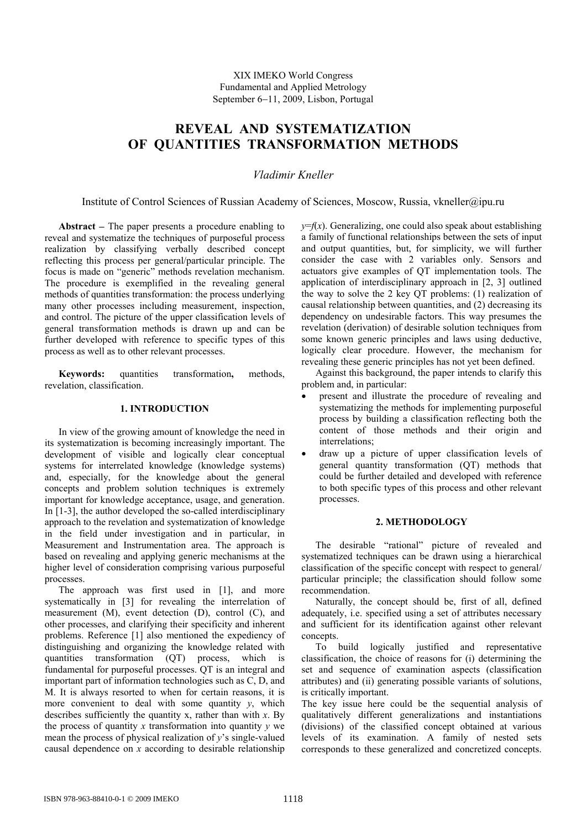XIX IMEKO World Congress Fundamental and Applied Metrology September 6−11, 2009, Lisbon, Portugal

# **REVEAL AND SYSTEMATIZATION OF QUANTITIES TRANSFORMATION METHODS**

*Vladimir Kneller* 

Institute of Control Sciences of Russian Academy of Sciences, Moscow, Russia, vkneller@ipu.ru

**Abstract** − The paper presents a procedure enabling to reveal and systematize the techniques of purposeful process realization by classifying verbally described concept reflecting this process per general/particular principle. The focus is made on "generic" methods revelation mechanism. The procedure is exemplified in the revealing general methods of quantities transformation: the process underlying many other processes including measurement, inspection, and control. The picture of the upper classification levels of general transformation methods is drawn up and can be further developed with reference to specific types of this process as well as to other relevant processes.

**Keywords:** quantities transformation**,** methods, revelation, classification.

## **1. INTRODUCTION**

In view of the growing amount of knowledge the need in its systematization is becoming increasingly important. The development of visible and logically clear conceptual systems for interrelated knowledge (knowledge systems) and, especially, for the knowledge about the general concepts and problem solution techniques is extremely important for knowledge acceptance, usage, and generation. In [1-3], the author developed the so-called interdisciplinary approach to the revelation and systematization of knowledge in the field under investigation and in particular, in Measurement and Instrumentation area. The approach is based on revealing and applying generic mechanisms at the higher level of consideration comprising various purposeful processes.

The approach was first used in [1], and more systematically in [3] for revealing the interrelation of measurement (M), event detection (D), control (C), and other processes, and clarifying their specificity and inherent problems. Reference [1] also mentioned the expediency of distinguishing and organizing the knowledge related with<br>quantities transformation (QT) process, which is quantities transformation (QT) process, fundamental for purposeful processes. QT is an integral and important part of information technologies such as C, D, and M. It is always resorted to when for certain reasons, it is more convenient to deal with some quantity  $y$ , which describes sufficiently the quantity x, rather than with *x*. By the process of quantity  $x$  transformation into quantity  $y$  we mean the process of physical realization of *y*'s single-valued causal dependence on *x* according to desirable relationship

 $y=f(x)$ . Generalizing, one could also speak about establishing a family of functional relationships between the sets of input and output quantities, but, for simplicity, we will further consider the case with 2 variables only. Sensors and actuators give examples of QT implementation tools. The application of interdisciplinary approach in [2, 3] outlined the way to solve the 2 key QT problems: (1) realization of causal relationship between quantities, and (2) decreasing its dependency on undesirable factors. This way presumes the revelation (derivation) of desirable solution techniques from some known generic principles and laws using deductive, logically clear procedure. However, the mechanism for revealing these generic principles has not yet been defined.

Against this background, the paper intends to clarify this problem and, in particular:

- present and illustrate the procedure of revealing and systematizing the methods for implementing purposeful process by building a classification reflecting both the content of those methods and their origin and interrelations;
- draw up a picture of upper classification levels of general quantity transformation (QT) methods that could be further detailed and developed with reference to both specific types of this process and other relevant processes.

#### **2. METHODOLOGY**

The desirable "rational" picture of revealed and systematized techniques can be drawn using a hierarchical classification of the specific concept with respect to general/ particular principle; the classification should follow some recommendation.

Naturally, the concept should be, first of all, defined adequately, i.e. specified using a set of attributes necessary and sufficient for its identification against other relevant concepts.

To build logically justified and representative classification, the choice of reasons for (i) determining the set and sequence of examination aspects (classification attributes) and (ii) generating possible variants of solutions, is critically important.

The key issue here could be the sequential analysis of qualitatively different generalizations and instantiations (divisions) of the classified concept obtained at various levels of its examination. A family of nested sets corresponds to these generalized and concretized concepts.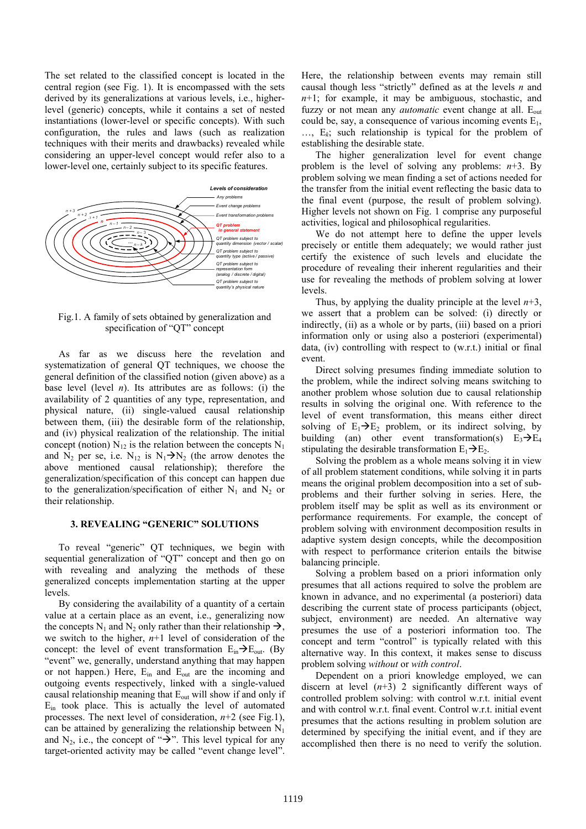The set related to the classified concept is located in the central region (see Fig. 1). It is encompassed with the sets derived by its generalizations at various levels, i.e., higherlevel (generic) concepts, while it contains a set of nested instantiations (lower-level or specific concepts). With such configuration, the rules and laws (such as realization techniques with their merits and drawbacks) revealed while considering an upper-level concept would refer also to a lower-level one, certainly subject to its specific features.



Fig.1. A family of sets obtained by generalization and specification of "QT" concept

As far as we discuss here the revelation and systematization of general QT techniques, we choose the general definition of the classified notion (given above) as a base level (level *n*). Its attributes are as follows: (i) the availability of 2 quantities of any type, representation, and physical nature, (ii) single-valued causal relationship between them, (iii) the desirable form of the relationship, and (iv) physical realization of the relationship. The initial concept (notion)  $N_{12}$  is the relation between the concepts  $N_1$ and  $N_2$  per se, i.e.  $N_{12}$  is  $N_1 \rightarrow N_2$  (the arrow denotes the above mentioned causal relationship); therefore the generalization/specification of this concept can happen due to the generalization/specification of either  $N_1$  and  $N_2$  or their relationship.

#### **3. REVEALING "GENERIC" SOLUTIONS**

To reveal "generic" QT techniques, we begin with sequential generalization of "QT" concept and then go on with revealing and analyzing the methods of these generalized concepts implementation starting at the upper levels.

By considering the availability of a quantity of a certain value at a certain place as an event, i.e., generalizing now the concepts N<sub>1</sub> and N<sub>2</sub> only rather than their relationship  $\rightarrow$ , we switch to the higher, *n*+1 level of consideration of the concept: the level of event transformation  $E_{in} \rightarrow E_{out}$ . (By "event" we, generally, understand anything that may happen or not happen.) Here,  $E_{in}$  and  $E_{out}$  are the incoming and outgoing events respectively, linked with a single-valued causal relationship meaning that Eout will show if and only if  $E_{in}$  took place. This is actually the level of automated processes. The next level of consideration, *n*+2 (see Fig.1), can be attained by generalizing the relationship between  $N_1$ and N<sub>2</sub>, i.e., the concept of " $\rightarrow$ ". This level typical for any target-oriented activity may be called "event change level".

Here, the relationship between events may remain still causal though less "strictly" defined as at the levels *n* and *n*+1; for example, it may be ambiguous, stochastic, and fuzzy or not mean any *automatic* event change at all. E<sub>out</sub> could be, say, a consequence of various incoming events  $E_1$ , …, E*k*; such relationship is typical for the problem of establishing the desirable state.

The higher generalization level for event change problem is the level of solving any problems:  $n+3$ . By problem solving we mean finding a set of actions needed for the transfer from the initial event reflecting the basic data to the final event (purpose, the result of problem solving). Higher levels not shown on Fig. 1 comprise any purposeful activities, logical and philosophical regularities.

We do not attempt here to define the upper levels precisely or entitle them adequately; we would rather just certify the existence of such levels and elucidate the procedure of revealing their inherent regularities and their use for revealing the methods of problem solving at lower levels.

Thus, by applying the duality principle at the level *n*+3, we assert that a problem can be solved: (i) directly or indirectly, (ii) as a whole or by parts, (iii) based on a priori information only or using also a posteriori (experimental) data, (iv) controlling with respect to (w.r.t.) initial or final event.

Direct solving presumes finding immediate solution to the problem, while the indirect solving means switching to another problem whose solution due to causal relationship results in solving the original one. With reference to the level of event transformation, this means either direct solving of  $E_1 \rightarrow E_2$  problem, or its indirect solving, by building (an) other event transformation(s)  $E_3 \rightarrow E_4$ stipulating the desirable transformation  $E_1 \rightarrow E_2$ .

Solving the problem as a whole means solving it in view of all problem statement conditions, while solving it in parts means the original problem decomposition into a set of subproblems and their further solving in series. Here, the problem itself may be split as well as its environment or performance requirements. For example, the concept of problem solving with environment decomposition results in adaptive system design concepts, while the decomposition with respect to performance criterion entails the bitwise balancing principle.

Solving a problem based on a priori information only presumes that all actions required to solve the problem are known in advance, and no experimental (a posteriori) data describing the current state of process participants (object, subject, environment) are needed. An alternative way presumes the use of a posteriori information too. The concept and term "control" is typically related with this alternative way. In this context, it makes sense to discuss problem solving *without* or *with control*.

Dependent on a priori knowledge employed, we can discern at level  $(n+3)$  2 significantly different ways of controlled problem solving: with control w.r.t. initial event and with control w.r.t. final event. Control w.r.t. initial event presumes that the actions resulting in problem solution are determined by specifying the initial event, and if they are accomplished then there is no need to verify the solution.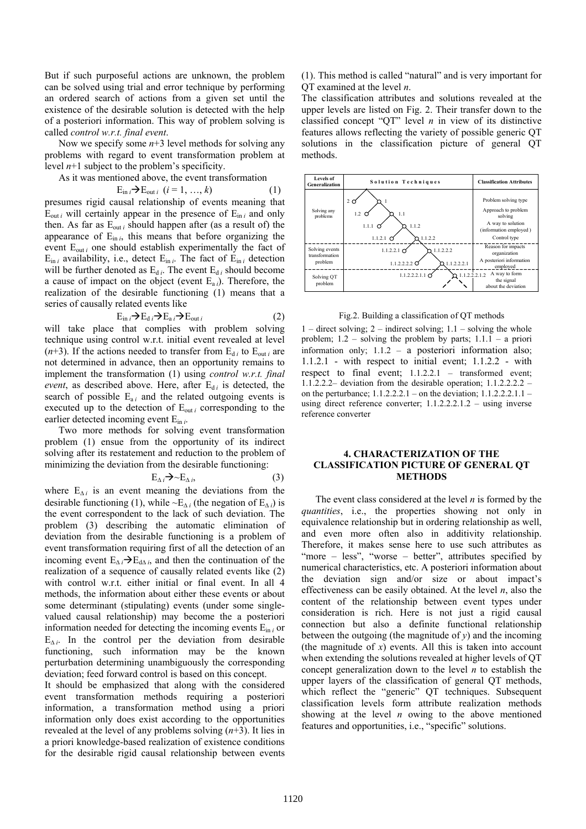But if such purposeful actions are unknown, the problem can be solved using trial and error technique by performing an ordered search of actions from a given set until the existence of the desirable solution is detected with the help of a posteriori information. This way of problem solving is called *control w.r.t. final event*.

Now we specify some  $n+3$  level methods for solving any problems with regard to event transformation problem at level *n*+1 subject to the problem's specificity.

As it was mentioned above, the event transformation

$$
E_{\text{in }i} \rightarrow E_{\text{out }i} \quad (i = 1, \ldots, k) \tag{1}
$$

presumes rigid causal relationship of events meaning that  $E_{\text{out }i}$  will certainly appear in the presence of  $E_{\text{in }i}$  and only then. As far as  $E_{out i}$  should happen after (as a result of) the appearance of  $E_{\text{in }i}$ , this means that before organizing the event  $E_{out}$  one should establish experimentally the fact of  $E_{\text{in }i}$  availability, i.e., detect  $E_{\text{in }i}$ . The fact of  $E_{\text{in }i}$  detection will be further denoted as  $E_{d i}$ . The event  $E_{d i}$  should become a cause of impact on the object (event  $E_{a i}$ ). Therefore, the realization of the desirable functioning (1) means that a series of causally related events like

$$
E_{\text{in }i} \rightarrow E_{\text{d }i} \rightarrow E_{\text{a }i} \rightarrow E_{\text{out }i} \tag{2}
$$

will take place that complies with problem solving technique using control w.r.t. initial event revealed at level  $(n+3)$ . If the actions needed to transfer from  $E_{di}$  to  $E_{out}$  are not determined in advance, then an opportunity remains to implement the transformation (1) using *control w.r.t. final event*, as described above. Here, after  $E_{di}$  is detected, the search of possible  $E_{ai}$  and the related outgoing events is executed up to the detection of  $E_{out i}$  corresponding to the earlier detected incoming event Ein *i*.

Two more methods for solving event transformation problem (1) ensue from the opportunity of its indirect solving after its restatement and reduction to the problem of minimizing the deviation from the desirable functioning:

$$
E_{\Delta i} \rightarrow \sim E_{\Delta i}, \tag{3}
$$

where  $E_{\Delta i}$  is an event meaning the deviations from the desirable functioning (1), while ~E<sub>∆*i*</sub> (the negation of E<sub>∆*i*</sub>) is the event correspondent to the lack of such deviation. The problem (3) describing the automatic elimination of deviation from the desirable functioning is a problem of event transformation requiring first of all the detection of an incoming event  $E_{\Delta i} \rightarrow E_{d\Delta i}$ , and then the continuation of the realization of a sequence of causally related events like (2) with control w.r.t. either initial or final event. In all 4 methods, the information about either these events or about some determinant (stipulating) events (under some singlevalued causal relationship) may become the a posteriori information needed for detecting the incoming events E<sub>in *i*</sub> or  $E_{\Delta i}$ . In the control per the deviation from desirable functioning, such information may be the known perturbation determining unambiguously the corresponding deviation; feed forward control is based on this concept.

It should be emphasized that along with the considered event transformation methods requiring a posteriori information, a transformation method using a priori information only does exist according to the opportunities revealed at the level of any problems solving (*n*+3). It lies in a priori knowledge-based realization of existence conditions for the desirable rigid causal relationship between events

(1). This method is called "natural" and is very important for QT examined at the level *n*.

The classification attributes and solutions revealed at the upper levels are listed on Fig. 2. Their transfer down to the classified concept "QT" level *n* in view of its distinctive features allows reflecting the variety of possible generic QT solutions in the classification picture of general QT methods.



Fig.2. Building a classification of QT methods

 $1 -$  direct solving;  $2 -$  indirect solving;  $1.1 -$  solving the whole problem;  $1.2$  – solving the problem by parts;  $1.1.1$  – a priori information only; 1.1.2 – a posteriori information also; 1.1.2.1 - with respect to initial event; 1.1.2.2 - with respect to final event; 1.1.2.2.1 – transformed event; 1.1.2.2.2– deviation from the desirable operation; 1.1.2.2.2.2 – on the perturbance;  $1.1.2.2.2.1 -$  on the deviation;  $1.1.2.2.2.1.1$ using direct reference converter; 1.1.2.2.2.1.2 – using inverse reference converter

## **4. CHARACTERIZATION OF THE CLASSIFICATION PICTURE OF GENERAL QT METHODS**

The event class considered at the level *n* is formed by the *quantities*, i.e., the properties showing not only in equivalence relationship but in ordering relationship as well, and even more often also in additivity relationship. Therefore, it makes sense here to use such attributes as "more – less", "worse – better", attributes specified by numerical characteristics, etc. A posteriori information about the deviation sign and/or size or about impact's effectiveness can be easily obtained. At the level *n*, also the content of the relationship between event types under consideration is rich. Here is not just a rigid causal connection but also a definite functional relationship between the outgoing (the magnitude of  $v$ ) and the incoming (the magnitude of *x*) events. All this is taken into account when extending the solutions revealed at higher levels of QT concept generalization down to the level *n* to establish the upper layers of the classification of general QT methods, which reflect the "generic" QT techniques. Subsequent classification levels form attribute realization methods showing at the level *n* owing to the above mentioned features and opportunities, i.e., "specific" solutions.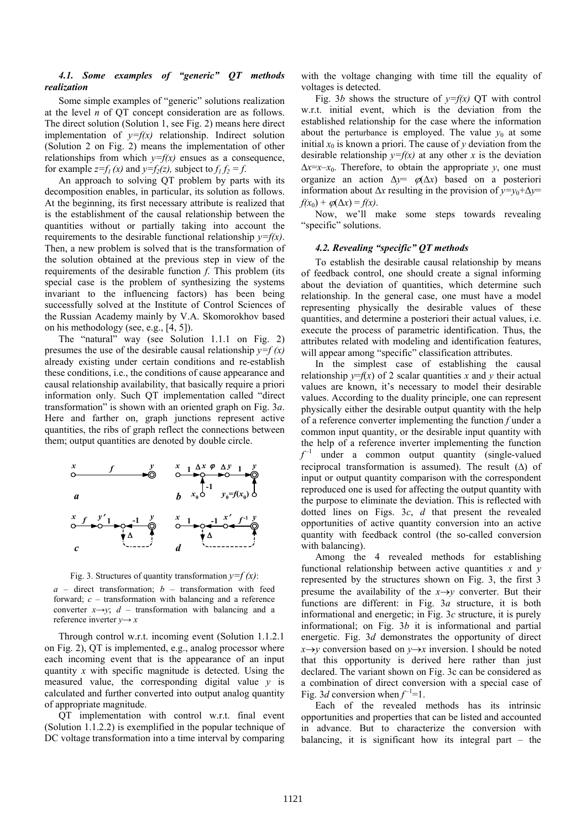## *4.1. Some examples of "generic" QT methods realization*

Some simple examples of "generic" solutions realization at the level *n* of QT concept consideration are as follows. The direct solution (Solution 1, see Fig. 2) means here direct implementation of  $y=f(x)$  relationship. Indirect solution (Solution 2 on Fig. 2) means the implementation of other relationships from which  $y=f(x)$  ensues as a consequence, for example  $z=f_1(x)$  and  $y=f_2(z)$ , subject to  $f_1 f_2 = f$ .

An approach to solving QT problem by parts with its decomposition enables, in particular, its solution as follows. At the beginning, its first necessary attribute is realized that is the establishment of the causal relationship between the quantities without or partially taking into account the requirements to the desirable functional relationship *y=f(x)*. Then, a new problem is solved that is the transformation of the solution obtained at the previous step in view of the requirements of the desirable function *f*. This problem (its special case is the problem of synthesizing the systems invariant to the influencing factors) has been being successfully solved at the Institute of Control Sciences of the Russian Academy mainly by V.A. Skomorokhov based on his methodology (see, e.g., [4, 5]).

The "natural" way (see Solution 1.1.1 on Fig. 2) presumes the use of the desirable causal relationship  $y=f(x)$ already existing under certain conditions and re-establish these conditions, i.e., the conditions of cause appearance and causal relationship availability, that basically require a priori information only. Such QT implementation called "direct transformation" is shown with an oriented graph on Fig. 3*a*. Here and farther on, graph junctions represent active quantities, the ribs of graph reflect the connections between them; output quantities are denoted by double circle.





*a* – direct transformation; *b* – transformation with feed forward; *c* – transformation with balancing and a reference converter  $x \rightarrow y$ ; *d* – transformation with balancing and a reference inverter  $y \rightarrow x$ 

Through control w.r.t. incoming event (Solution 1.1.2.1 on Fig. 2), QT is implemented, e.g., analog processor where each incoming event that is the appearance of an input quantity *x* with specific magnitude is detected. Using the measured value, the corresponding digital value *y* is calculated and further converted into output analog quantity of appropriate magnitude.

QT implementation with control w.r.t. final event (Solution 1.1.2.2) is exemplified in the popular technique of DC voltage transformation into a time interval by comparing with the voltage changing with time till the equality of voltages is detected.

Fig. 3*b* shows the structure of  $y=f(x)$  QT with control w.r.t. initial event, which is the deviation from the established relationship for the case where the information about the perturbance is employed. The value  $y_0$  at some initial  $x_0$  is known a priori. The cause of  $y$  deviation from the desirable relationship  $y=f(x)$  at any other *x* is the deviation  $\Delta x = x - x_0$ . Therefore, to obtain the appropriate *y*, one must organize an action ∆*y*= ϕ(∆*x*) based on a posteriori information about  $\Delta x$  resulting in the provision of  $y=y_0+\Delta y=$  $f(x_0) + \varphi(\Delta x) = f(x)$ .

Now, we'll make some steps towards revealing "specific" solutions.

#### *4.2. Revealing "specific" QT methods*

To establish the desirable causal relationship by means of feedback control, one should create a signal informing about the deviation of quantities, which determine such relationship. In the general case, one must have a model representing physically the desirable values of these quantities, and determine a posteriori their actual values, i.e. execute the process of parametric identification. Thus, the attributes related with modeling and identification features, will appear among "specific" classification attributes.

In the simplest case of establishing the causal relationship  $y=f(x)$  of 2 scalar quantities x and y their actual values are known, it's necessary to model their desirable values. According to the duality principle, one can represent physically either the desirable output quantity with the help of a reference converter implementing the function *f* under a common input quantity, or the desirable input quantity with the help of a reference inverter implementing the function  $f^{-1}$  under a common output quantity (single-valued reciprocal transformation is assumed). The result  $(\Delta)$  of input or output quantity comparison with the correspondent reproduced one is used for affecting the output quantity with the purpose to eliminate the deviation. This is reflected with dotted lines on Figs. 3*c*, *d* that present the revealed opportunities of active quantity conversion into an active quantity with feedback control (the so-called conversion with balancing).

Among the 4 revealed methods for establishing functional relationship between active quantities *x* and *y* represented by the structures shown on Fig. 3, the first 3 presume the availability of the  $x \rightarrow y$  converter. But their functions are different: in Fig. 3*a* structure, it is both informational and energetic; in Fig. 3*c* structure, it is purely informational; on Fig. 3*b* it is informational and partial energetic. Fig. 3*d* demonstrates the opportunity of direct *x*→*y* conversion based on *y*→*x* inversion. I should be noted that this opportunity is derived here rather than just declared. The variant shown on Fig. 3c can be considered as a combination of direct conversion with a special case of Fig. 3*d* conversion when  $f^{-1}=1$ .

Each of the revealed methods has its intrinsic opportunities and properties that can be listed and accounted in advance. But to characterize the conversion with balancing, it is significant how its integral part – the